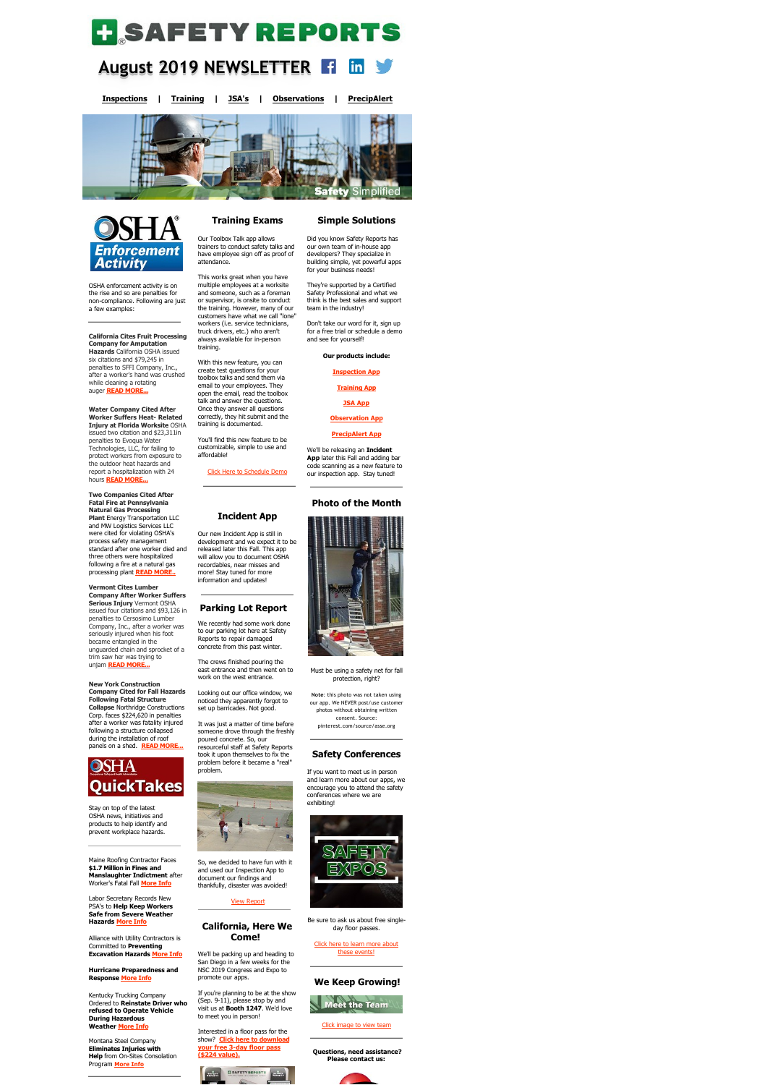# **H** SAFETY REPORTS

### **August 2019 NEWSLETTER**  in

**[Inspections](https://www.safety-reports.com/safety-inspection/) | [Training](https://www.safety-reports.com/safety-training/) | [JSA's](https://www.safety-reports.com/jsa/) | [Observations](https://www.safety-reports.com/safety-observation-coming-soon/) | [PrecipAlert](https://www.safety-reports.com/precipalert/)**





OSHA enforcement activity is on the rise and so are penalties for non-compliance. Following are just a few examples:

**California Cites Fruit Processing Company for Amputation Hazards** California OSHA issued six citations and \$79,245 in penalties to SFFI Company, Inc., after a worker's hand was crushed while cleaning a rotating auger **[READ MORE...](https://www.safety-reports.com/blog/august-newsletter-enforcement/#california)**

**Water Company Cited After Worker Suffers Heat- Related Injury at Florida Worksite** OSHA issued two citation and \$23,311in penalties to Evoqua Water Technologies, LLC, for failing to protect workers from exposure to the outdoor heat hazards and report a hospitalization with 24 hours **[READ MORE...](https://www.safety-reports.com/blog/august-newsletter-enforcement/#florida)**

**Two Companies Cited After Fatal Fire at Pennsylvania Natural Gas Processing Plant** Energy Transportation LLC and MW Logistics Services LLC were cited for violating OSHA's process safety management standard after one worker died and three others were hospitalized following a fire at a natural gas processing plant **[READ MORE..](https://www.safety-reports.com/blog/august-newsletter-enforcement/#pennsylvania)**

#### **Vermont Cites Lumber Company After Worker Suffers Serious Injury** Vermont OSHA issued four citations and \$93,126 in

penalties to Cersosimo Lumber Company, Inc., after a worker was seriously injured when his foot became entangled in the unguarded chain and sprocket of a trim saw her was trying to unjam **[READ MORE...](https://www.safety-reports.com/blog/august-newsletter-enforcement/#vermont)**

**New York Construction Company Cited for Fall Hazards Following Fatal Structure Collapse** Northridge Constructions Corp. faces \$224,620 in penalties after a worker was fatality injured following a structure collapsed during the installation of roof panels on a shed. **[READ MORE...](https://www.safety-reports.com/blog/august-newsletter-enforcement/#newyork)**



Our new Incident App is still in development and we expect it to be released later this Fall. This app will allow you to document OSHA recordables, near misses and more! Stay tuned for more information and updates

Stay on top of the latest OSHA news, initiatives and products to help identify and prevent workplace hazards.

Maine Roofing Contractor Faces **\$1.7 Million in Fines and Manslaughter Indictment** after Worker's Fatal Fall **[More Info](https://www.safety-reports.com/blog/august-newsletter-quicktakes/#maine)**

Labor Secretary Records New PSA's to **Help Keep Workers Safe from Severe Weather Hazards [More Info](https://www.safety-reports.com/blog/august-newsletter-quicktakes/#laborsecretary)**

Alliance with Utility Contractors is Committed to **Preventing Excavation Hazards [More Info](https://www.safety-reports.com/blog/august-newsletter-quicktakes/#alliance)**

**[Hurricane Preparedn](http://www.safety-reports.com/2017/11/28/industry-guide-provides-best-practices-high-school-construction-programs/)ess and Response [More Info](https://www.safety-reports.com/blog/august-newsletter-quicktakes/#hurricane)**

Kentucky Trucking Company Ordered to **Reinstate Driver who refused to Operate Vehicle During Hazardous Weather [More Info](https://www.safety-reports.com/blog/august-newsletter-quicktakes/#whistleblower)**

Montana Steel Company **Eliminates Injuries with Help** from On-Sites Consolation Program **[More Info](https://www.safety-reports.com/blog/august-newsletter-quicktakes/#sharp)**

# **Training Exams**

Our Toolbox Talk app allows trainers to conduct safety talks and have employee sign off as proof of attendance.

This works great when you have multiple employees at a worksite and someone, such as a foreman or supervisor, is onsite to conduct the training. However, many of our customers have what we call "lone" workers (i.e. service technicians, truck drivers, etc.) who aren't always available for in-person training.

With this new feature, you can create test questions for your toolbox talks and send them via email to your employees. They open the email, read the toolbox talk and answer the questions. Once they answer all questions correctly, they hit submit and the training is documented.

You'll find this new feature to be customizable, simple to use and affordable!

[Click Here to Schedule Demo](https://calendly.com/safety-reports/safety-training-demo)

## **Incident App**

### **Parking Lot Report**

We recently had some work done to our parking lot here at Safety Reports to repair damaged concrete from this past winter.

The crews finished pouring the east entrance and then went on to work on the west entrance.

Looking out our office window, we noticed they apparently forgot to set up barricades. Not good.

It was just a matter of time before someone drove through the freshly poured concrete. So, our resourceful staff at Safety Reports took it upon themselves to fix the problem before it became a "real" problem.



So, we decided to have fun with it and used our Inspection App to document our findings and thankfully, disaster was avoided!

### [View Report](https://server1.safety-reports.com/jobfiles/preview/pre_2019_Aug_06_Parking_Lot_Repair_862601_b25f6554.pdf)

### **California, Here We Come!**

We'll be packing up and heading to San Diego in a few weeks for the NSC 2019 Congress and Expo to promote our apps.

If you're planning to be at the show (Sep. 9-11), please stop by and visit us at **Booth 1247**. We'd love to meet you in person!

Interested in a floor pass for the show? **Click here to download [your free 3-day floor pass](https://www.safety-reports.com/events-2019-national-safety-council-congress-expo/nsc-san-diego/) (\$224 value).**





### **Simple Solutions**

Did you know Safety Reports has our own team of in-house app developers? They specialize in building simple, yet powerful apps for your business needs!

They're supported by a Certified Safety Professional and what we think is the best sales and support team in the industry!

Don't take our word for it, sign up for a free trial or schedule a demo and see for yourself!

**Our products include:**

**[Inspection App](https://www.safety-reports.com/safety-inspection/)**

**[Training App](https://www.safety-reports.com/safety-training/)**

**[JSA App](https://www.safety-reports.com/jsa/)**

**[Observation App](https://www.safety-reports.com/safety-observation-coming-soon/)**

**[PrecipAlert App](https://www.safety-reports.com/precipalert/)**

We'll be releasing an **Incident App** later this Fall and adding bar code scanning as a new feature to our inspection app. Stay tuned!

### **Photo of the Month**

Must be using a safety net for fall protection, right?

**Note**: this photo was not taken using our app. We NEVER post/use customer photos without obtaining written consent. Source: pinterest.com/source/asse.org

### **Safety Conferences**

If you want to meet us in person and learn more about our apps, we encourage you to attend the safety conferences where we are exhibiting!



Be sure to ask us about free singleday floor passes.

[Click here to learn more about](https://www.safety-reports.com/safetyexpo/) these events!

### **We Keep Growing!**



### [Click image to view team](https://www.safety-reports.com/about/)

**Questions, need assistance? Please contact us:**